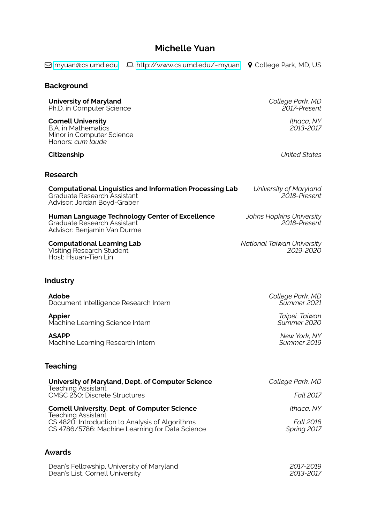# **Michelle Yuan**

Q [myuan@cs.umd.edu](mailto:myuan@cs.umd.edu) § <http://www.cs.umd.edu/~myuan> ½ College Park, MD, US

#### **Background**

**University of Maryland** *College Park, MD* **Ph.D. in Computer Science** 

**Cornell University** *Ithaca, NY*

B.A. in Mathematics Minor in Computer Science Honors: *cum laude*

#### **Research**

| <b>Computational Linguistics and Information Processing Lab</b> |
|-----------------------------------------------------------------|
| Graduate Research Assistant                                     |
| Advisor: Jordan Boyd-Graber                                     |

**Human Language Technology Center of Excellence** *Johns Hopkins University* Graduate Research Assistant Advisor: Benjamin Van Durme

**Computational Learning Lab** *National Taiwan University* Visiting Research Student *2019-2020* Host: Hsuan-Tien Lin

**Industry**

**Adobe** *College Park, MD* **Document Intelligence Research Intern** 

**Appier** *Taipei, Taiwan* Machine Learning Science Intern

**ASAPP** *New York, NY* **Machine Learning Research Intern** 

# **Teaching**

| University of Maryland, Dept. of Computer Science                                                  | College Park, MD         |
|----------------------------------------------------------------------------------------------------|--------------------------|
| <b>Teaching Assistant</b><br>CMSC 250: Discrete Structures                                         | <b>Fall 2017</b>         |
| <b>Cornell University, Dept. of Computer Science</b><br><b>Teaching Assistant</b>                  | Ithaca, NY               |
| CS 4820: Introduction to Analysis of Algorithms<br>CS 4786/5786: Machine Learning for Data Science | Fall 2016<br>Spring 2017 |

#### **Awards**

Dean's Fellowship, University of Maryland *2017-2019* Dean's List, Cornell University *2013-2017*

**Citizenship** *United States*

Graduate Research Assistant *2018-Present*

**Chiversity of Maryland**